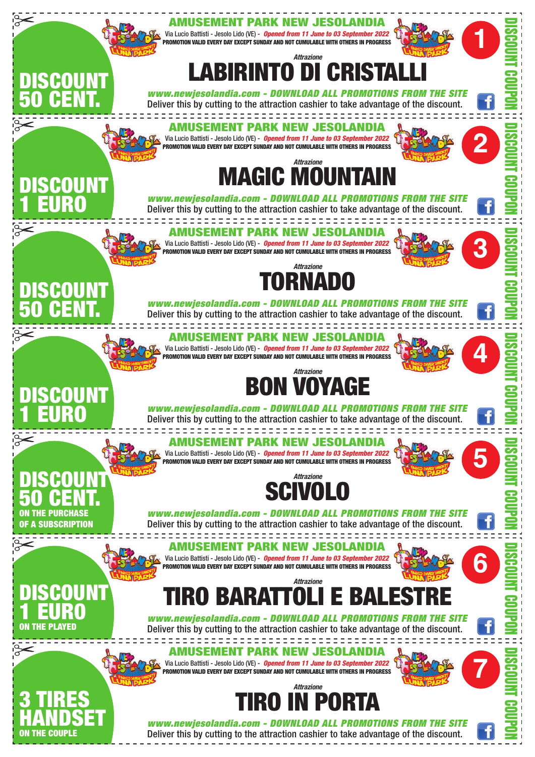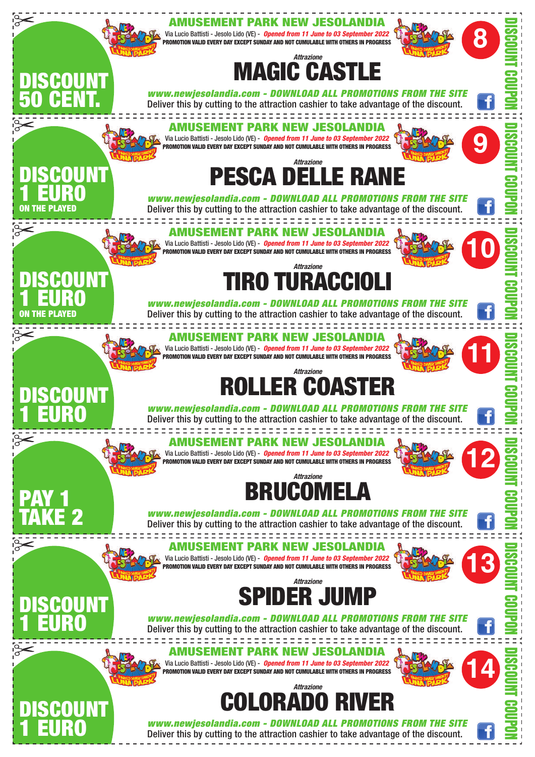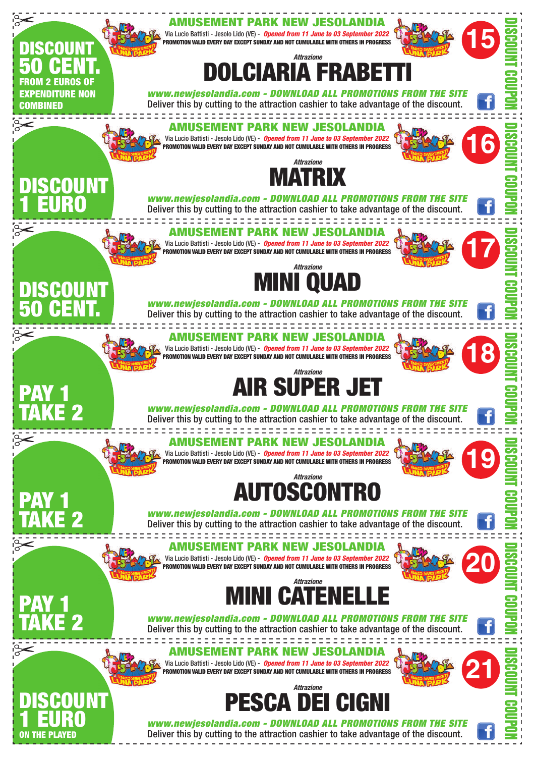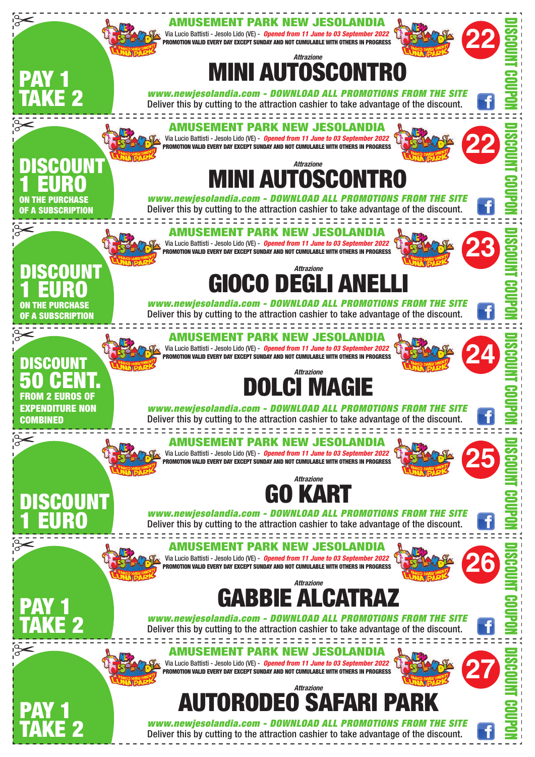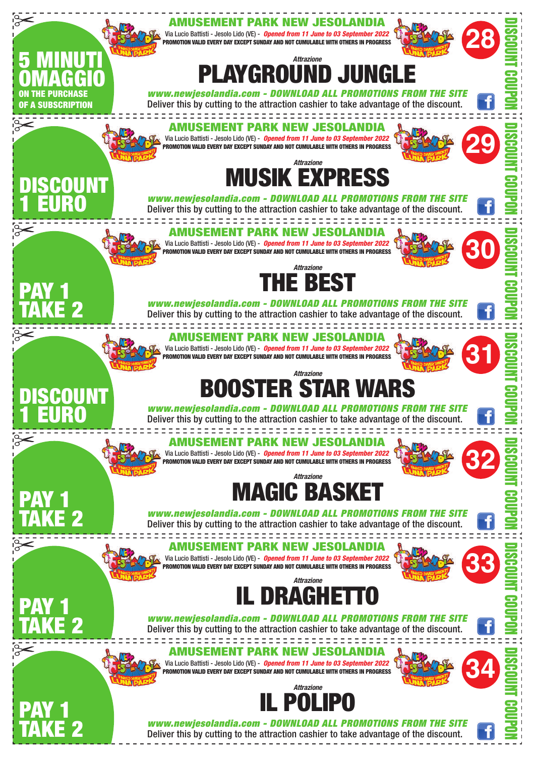